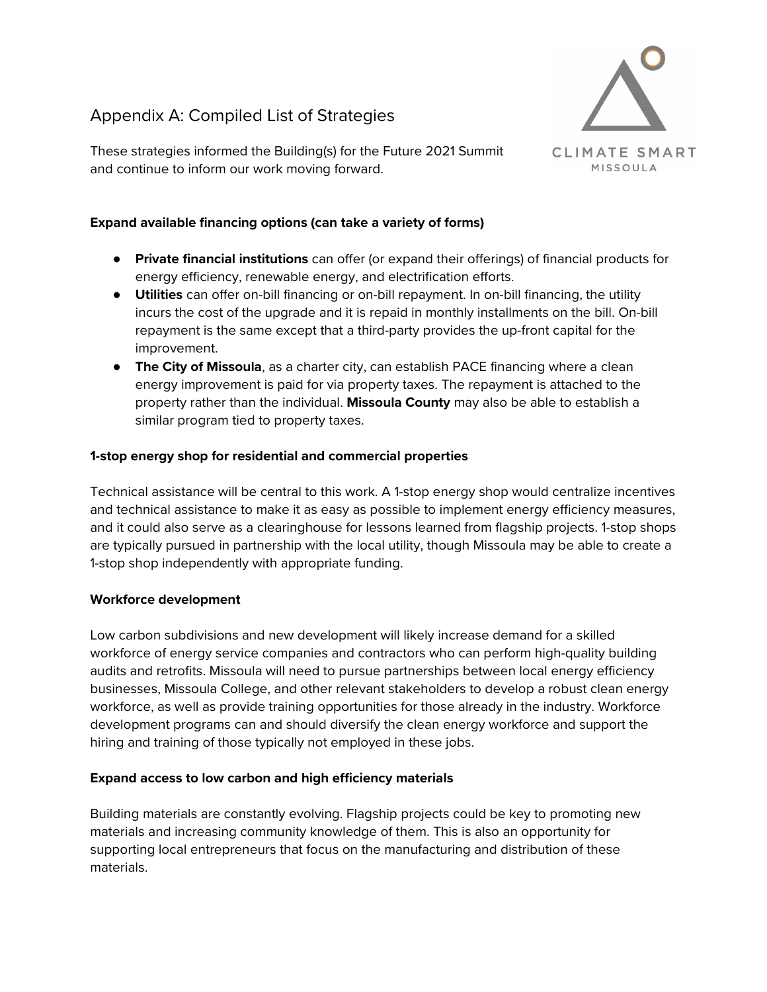# Appendix A: Compiled List of Strategies



These strategies informed the Building(s) for the Future 2021 Summit and continue to inform our work moving forward.

# **Expand available financing options (can take a variety of forms)**

- **Private financial institutions** can offer (or expand their offerings) of financial products for energy efficiency, renewable energy, and electrification efforts.
- **Utilities** can offer on-bill financing or on-bill repayment. In on-bill financing, the utility incurs the cost of the upgrade and it is repaid in monthly installments on the bill. On-bill repayment is the same except that a third-party provides the up-front capital for the improvement.
- **The City of Missoula**, as a charter city, can establish PACE financing where a clean energy improvement is paid for via property taxes. The repayment is attached to the property rather than the individual. **Missoula County** may also be able to establish a similar program tied to property taxes.

# **1-stop energy shop for residential and commercial properties**

Technical assistance will be central to this work. A 1-stop energy shop would centralize incentives and technical assistance to make it as easy as possible to implement energy efficiency measures, and it could also serve as a clearinghouse for lessons learned from flagship projects. 1-stop shops are typically pursued in partnership with the local utility, though Missoula may be able to create a 1-stop shop independently with appropriate funding.

# **Workforce development**

Low carbon subdivisions and new development will likely increase demand for a skilled workforce of energy service companies and contractors who can perform high-quality building audits and retrofits. Missoula will need to pursue partnerships between local energy efficiency businesses, Missoula College, and other relevant stakeholders to develop a robust clean energy workforce, as well as provide training opportunities for those already in the industry. Workforce development programs can and should diversify the clean energy workforce and support the hiring and training of those typically not employed in these jobs.

# **Expand access to low carbon and high efficiency materials**

Building materials are constantly evolving. Flagship projects could be key to promoting new materials and increasing community knowledge of them. This is also an opportunity for supporting local entrepreneurs that focus on the manufacturing and distribution of these materials.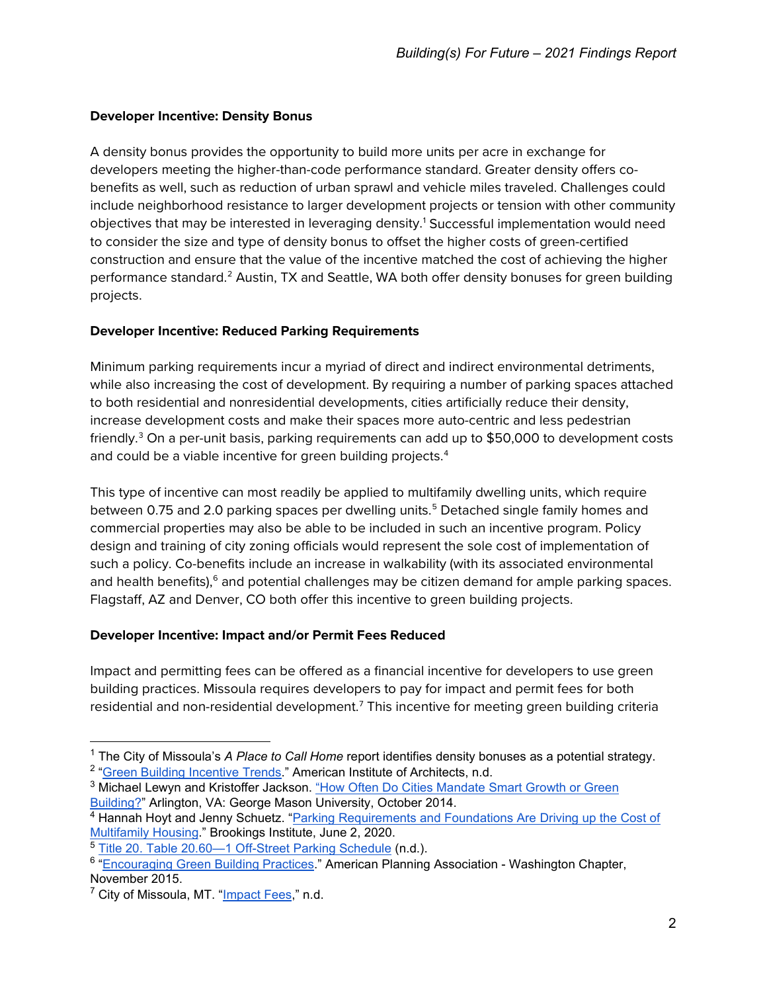# **Developer Incentive: Density Bonus**

A density bonus provides the opportunity to build more units per acre in exchange for developers meeting the higher-than-code performance standard. Greater density offers cobenefits as well, such as reduction of urban sprawl and vehicle miles traveled. Challenges could include neighborhood resistance to larger development projects or tension with other community objectives that may be interested in leveraging density.[1](#page-1-0) Successful implementation would need to consider the size and type of density bonus to offset the higher costs of green-certified construction and ensure that the value of the incentive matched the cost of achieving the higher performance standard.<sup>[2](#page-1-1)</sup> Austin, TX and Seattle, WA both offer density bonuses for green building projects.

# **Developer Incentive: Reduced Parking Requirements**

Minimum parking requirements incur a myriad of direct and indirect environmental detriments, while also increasing the cost of development. By requiring a number of parking spaces attached to both residential and nonresidential developments, cities artificially reduce their density, increase development costs and make their spaces more auto-centric and less pedestrian friendly.<sup>[3](#page-1-2)</sup> On a per-unit basis, parking requirements can add up to \$50,000 to development costs and could be a viable incentive for green building projects.<sup>4</sup>

This type of incentive can most readily be applied to multifamily dwelling units, which require between 0.7[5](#page-1-4) and 2.0 parking spaces per dwelling units.<sup>5</sup> Detached single family homes and commercial properties may also be able to be included in such an incentive program. Policy design and training of city zoning officials would represent the sole cost of implementation of such a policy. Co-benefits include an increase in walkability (with its associated environmental and health benefits), $6$  and potential challenges may be citizen demand for ample parking spaces. Flagstaff, AZ and Denver, CO both offer this incentive to green building projects.

# **Developer Incentive: Impact and/or Permit Fees Reduced**

Impact and permitting fees can be offered as a financial incentive for developers to use green building practices. Missoula requires developers to pay for impact and permit fees for both residential and non-residential development.<sup>[7](#page-1-6)</sup> This incentive for meeting green building criteria

<span id="page-1-1"></span><span id="page-1-0"></span><sup>1</sup> The City of Missoula's *A Place to Call Home* report identifies density bonuses as a potential strategy. <sup>2</sup> ["Green Building Incentive Trends.](https://www.naco.org/sites/default/files/documents/GB%20Issue%20Brief-Green%20Building%20Incentive%20Trends.pdf)" American Institute of Architects, n.d.

<span id="page-1-2"></span><sup>&</sup>lt;sup>3</sup> Michael Lewyn and Kristoffer Jackson. "How Often Do Cities Mandate Smart Growth or Green [Building?"](https://www.mercatus.org/system/files/Lewyn-Mandating-SmartGrowth.pdf) Arlington, VA: George Mason University, October 2014.

<span id="page-1-3"></span><sup>4</sup> Hannah Hoyt and Jenny Schuetz. ["Parking Requirements and Foundations Are Driving up the Cost of](https://www.brookings.edu/research/parking-requirements-and-foundations-are-driving-up-the-cost-of-multifamily-housing/)  [Multifamily Housing.](https://www.brookings.edu/research/parking-requirements-and-foundations-are-driving-up-the-cost-of-multifamily-housing/)" Brookings Institute, June 2, 2020.

<span id="page-1-4"></span><sup>5</sup> [Title 20. Table 20.60—1 Off-Street Parking Schedule](http://www.ci.missoula.mt.us/DocumentCenter/View/30846/Municipal-Code-Title-20-Zoning-PDF-version?bidId=) (n.d.).

<span id="page-1-5"></span><sup>&</sup>lt;sup>6</sup> ["Encouraging Green Building Practices.](https://www.washington-apa.org/assets/docs/2015/Ten_Big_Ideas/October_Revisions/green_building_11.7.15.pdf)" American Planning Association - Washington Chapter, November 2015.

<span id="page-1-6"></span><sup>&</sup>lt;sup>7</sup> City of Missoula, MT. ["Impact Fees,](https://www.ci.missoula.mt.us/141/Impact-Fees)" n.d.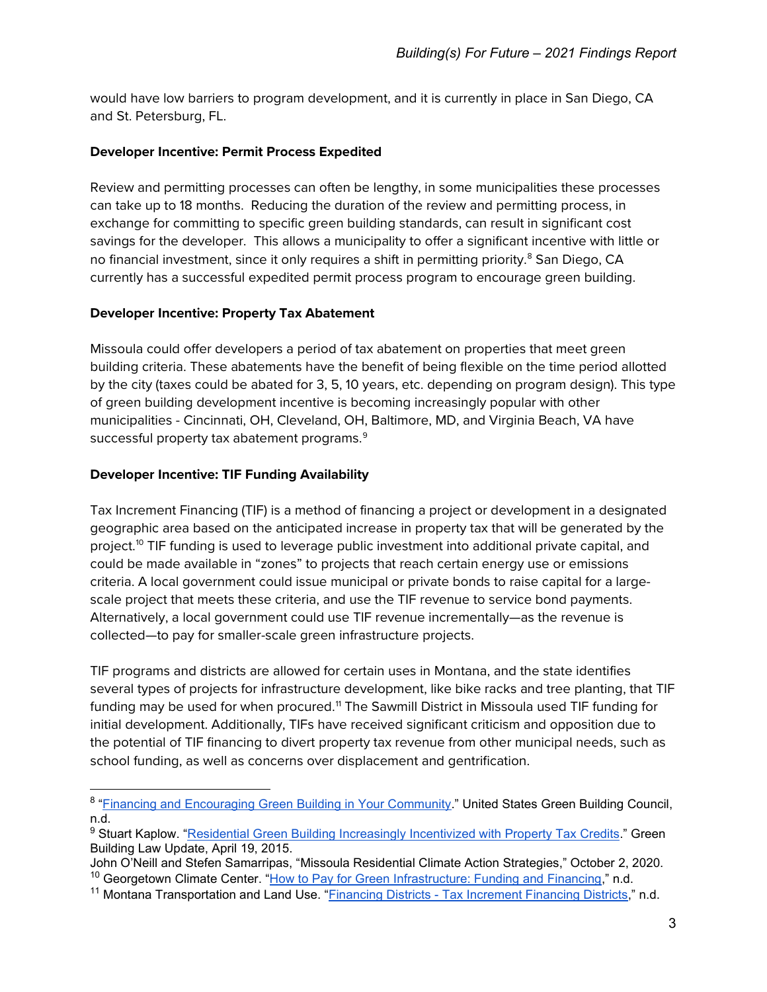would have low barriers to program development, and it is currently in place in San Diego, CA and St. Petersburg, FL.

### **Developer Incentive: Permit Process Expedited**

Review and permitting processes can often be lengthy, in some municipalities these processes can take up to 18 months. Reducing the duration of the review and permitting process, in exchange for committing to specific green building standards, can result in significant cost savings for the developer. This allows a municipality to offer a significant incentive with little or no financial investment, since it only requires a shift in permitting priority.<sup>[8](#page-2-0)</sup> San Diego, CA currently has a successful expedited permit process program to encourage green building.

### **Developer Incentive: Property Tax Abatement**

Missoula could offer developers a period of tax abatement on properties that meet green building criteria. These abatements have the benefit of being flexible on the time period allotted by the city (taxes could be abated for 3, 5, 10 years, etc. depending on program design). This type of green building development incentive is becoming increasingly popular with other municipalities - Cincinnati, OH, Cleveland, OH, Baltimore, MD, and Virginia Beach, VA have successful property tax abatement programs.<sup>[9](#page-2-1)</sup>

### **Developer Incentive: TIF Funding Availability**

Tax Increment Financing (TIF) is a method of financing a project or development in a designated geographic area based on the anticipated increase in property tax that will be generated by the project.<sup>[10](#page-2-2)</sup> TIF funding is used to leverage public investment into additional private capital, and could be made available in "zones" to projects that reach certain energy use or emissions criteria. A local government could issue municipal or private bonds to raise capital for a largescale project that meets these criteria, and use the TIF revenue to service bond payments. Alternatively, a local government could use TIF revenue incrementally—as the revenue is collected—to pay for smaller-scale green infrastructure projects.

TIF programs and districts are allowed for certain uses in Montana, and the state identifies several types of projects for infrastructure development, like bike racks and tree planting, that TIF funding may be used for when procured.<sup>[11](#page-2-3)</sup> The Sawmill District in Missoula used TIF funding for initial development. Additionally, TIFs have received significant criticism and opposition due to the potential of TIF financing to divert property tax revenue from other municipal needs, such as school funding, as well as concerns over displacement and gentrification.

<span id="page-2-0"></span><sup>&</sup>lt;sup>8</sup> ["Financing and Encouraging Green Building in Your Community.](https://www.usgbc.org/sites/default/files/Docs6247.pdf)" United States Green Building Council, n.d.

<span id="page-2-1"></span><sup>&</sup>lt;sup>9</sup> Stuart Kaplow. ["Residential Green Building Increasingly Incentivized with Property Tax](https://www.greenbuildinglawupdate.com/2015/04/articles/leed/residential-green-building-increasingly-incentivized-with-property-tax-credits/) Credits." Green Building Law Update, April 19, 2015.

<span id="page-2-2"></span>John O'Neill and Stefen Samarripas, "Missoula Residential Climate Action Strategies," October 2, 2020. <sup>10</sup> Georgetown Climate Center. ["How to Pay for Green Infrastructure: Funding and Financing,](https://www.georgetownclimate.org/adaptation/toolkits/green-infrastructure-toolkit/how-to-pay-for-green-infrastructure-funding-and-financing.html)" n.d.

<span id="page-2-3"></span><sup>&</sup>lt;sup>11</sup> Montana Transportation and Land Use. "Financing Districts - [Tax Increment Financing Districts,](https://www.mdt.mt.gov/research/toolkit/m1/ftools/fd/tifd.shtml)" n.d.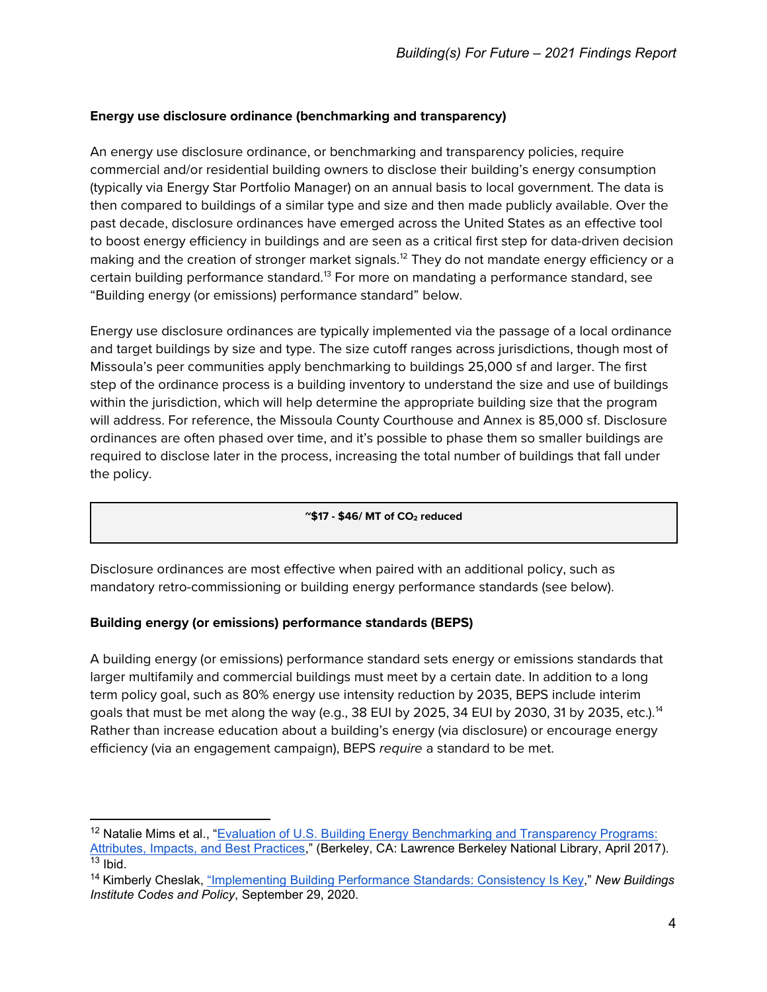# **Energy use disclosure ordinance (benchmarking and transparency)**

An energy use disclosure ordinance, or benchmarking and transparency policies, require commercial and/or residential building owners to disclose their building's energy consumption (typically via Energy Star Portfolio Manager) on an annual basis to local government. The data is then compared to buildings of a similar type and size and then made publicly available. Over the past decade, disclosure ordinances have emerged across the United States as an effective tool to boost energy efficiency in buildings and are seen as a critical first step for data-driven decision making and the creation of stronger market signals.<sup>[12](#page-3-0)</sup> They do not mandate energy efficiency or a certain building performance standard.<sup>[13](#page-3-1)</sup> For more on mandating a performance standard, see "Building energy (or emissions) performance standard" below.

Energy use disclosure ordinances are typically implemented via the passage of a local ordinance and target buildings by size and type. The size cutoff ranges across jurisdictions, though most of Missoula's peer communities apply benchmarking to buildings 25,000 sf and larger. The first step of the ordinance process is a building inventory to understand the size and use of buildings within the jurisdiction, which will help determine the appropriate building size that the program will address. For reference, the Missoula County Courthouse and Annex is 85,000 sf. Disclosure ordinances are often phased over time, and it's possible to phase them so smaller buildings are required to disclose later in the process, increasing the total number of buildings that fall under the policy.

#### **~\$17 - \$46/ MT of CO2 reduced**

Disclosure ordinances are most effective when paired with an additional policy, such as mandatory retro-commissioning or building energy performance standards (see below).

# **Building energy (or emissions) performance standards (BEPS)**

A building energy (or emissions) performance standard sets energy or emissions standards that larger multifamily and commercial buildings must meet by a certain date. In addition to a long term policy goal, such as 80% energy use intensity reduction by 2035, BEPS include interim goals that must be met along the way (e.g., 38 EUI by 2025, 34 EUI by 2030, 31 by 2035, etc.).<sup>[14](#page-3-2)</sup> Rather than increase education about a building's energy (via disclosure) or encourage energy efficiency (via an engagement campaign), BEPS *require* a standard to be met.

<span id="page-3-0"></span><sup>&</sup>lt;sup>12</sup> Natalie Mims et al., "Evaluation of U.S. Building Energy Benchmarking and Transparency Programs: [Attributes, Impacts, and Best Practices,](https://emp.lbl.gov/sites/default/files/lbnl_benchmarking_final_050417_0.pdf)" (Berkeley, CA: Lawrence Berkeley National Library, April 2017).  $13$  Ibid.

<span id="page-3-2"></span><span id="page-3-1"></span><sup>14</sup> Kimberly Cheslak, ["Implementing Building Performance Standards: Consistency Is Key,](https://newbuildings.org/implementing-building-performance-standards-consistency-is-key/)" *New Buildings Institute Codes and Policy*, September 29, 2020.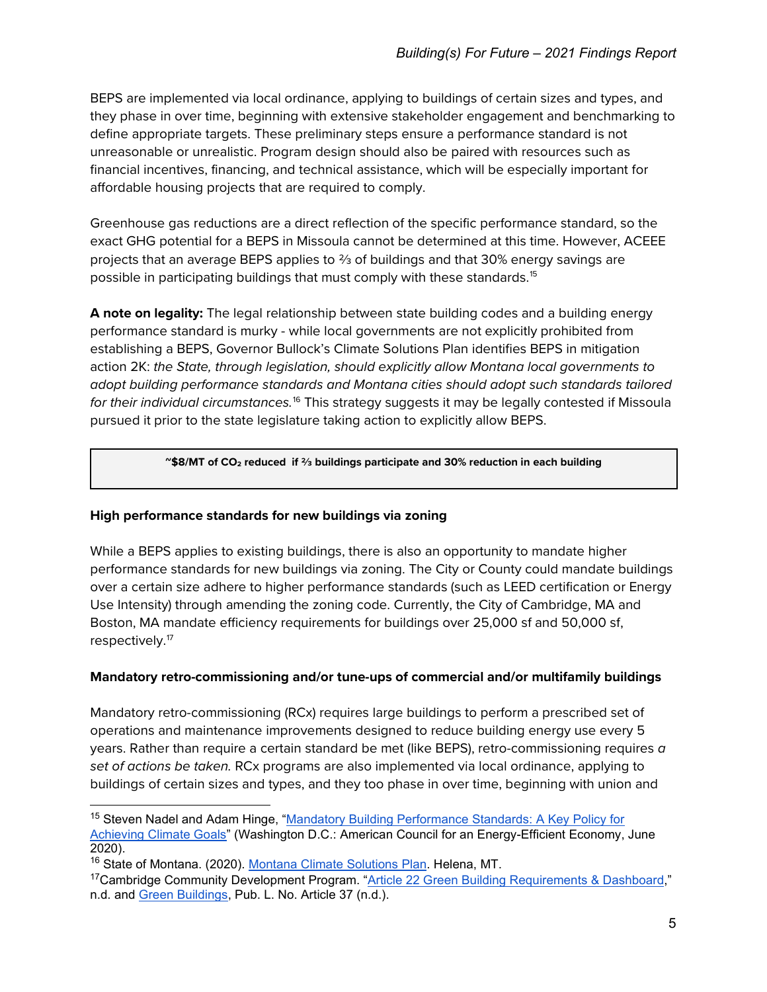BEPS are implemented via local ordinance, applying to buildings of certain sizes and types, and they phase in over time, beginning with extensive stakeholder engagement and benchmarking to define appropriate targets. These preliminary steps ensure a performance standard is not unreasonable or unrealistic. Program design should also be paired with resources such as financial incentives, financing, and technical assistance, which will be especially important for affordable housing projects that are required to comply.

Greenhouse gas reductions are a direct reflection of the specific performance standard, so the exact GHG potential for a BEPS in Missoula cannot be determined at this time. However, ACEEE projects that an average BEPS applies to ⅔ of buildings and that 30% energy savings are possible in participating buildings that must comply with these standards.<sup>[15](#page-4-0)</sup>

**A note on legality:** The legal relationship between state building codes and a building energy performance standard is murky - while local governments are not explicitly prohibited from establishing a BEPS, Governor Bullock's Climate Solutions Plan identifies BEPS in mitigation action 2K: *the State, through legislation, should explicitly allow Montana local governments to adopt building performance standards and Montana cities should adopt such standards tailored for their individual circumstances.*[16](#page-4-1) This strategy suggests it may be legally contested if Missoula pursued it prior to the state legislature taking action to explicitly allow BEPS.

#### **~\$8/MT of CO2 reduced if ⅔ buildings participate and 30% reduction in each building**

#### **High performance standards for new buildings via zoning**

While a BEPS applies to existing buildings, there is also an opportunity to mandate higher performance standards for new buildings via zoning. The City or County could mandate buildings over a certain size adhere to higher performance standards (such as LEED certification or Energy Use Intensity) through amending the zoning code. Currently, the City of Cambridge, MA and Boston, MA mandate efficiency requirements for buildings over 25,000 sf and 50,000 sf, respectively.[17](#page-4-2)

# **Mandatory retro-commissioning and/or tune-ups of commercial and/or multifamily buildings**

Mandatory retro-commissioning (RCx) requires large buildings to perform a prescribed set of operations and maintenance improvements designed to reduce building energy use every 5 years. Rather than require a certain standard be met (like BEPS), retro-commissioning requires *a set of actions be taken.* RCx programs are also implemented via local ordinance, applying to buildings of certain sizes and types, and they too phase in over time, beginning with union and

<span id="page-4-0"></span><sup>&</sup>lt;sup>15</sup> Steven Nadel and Adam Hinge, "Mandatory Building Performance Standards: A Key Policy for [Achieving Climate Goals"](https://www.aceee.org/sites/default/files/pdfs/buildings_standards_6.22.2020_0.pdf) (Washington D.C.: American Council for an Energy-Efficient Economy, June 2020).

<span id="page-4-1"></span><sup>16</sup> State of Montana. (2020). [Montana Climate Solutions Plan.](https://deq.mt.gov/Portals/112/DEQAdmin/Climate/2020-09-09_MontanaClimateSolutions_Final.pdf) Helena, MT.

<span id="page-4-2"></span><sup>&</sup>lt;sup>17</sup>Cambridge Community Development Program. ["Article 22 Green Building Requirements & Dashboard,](https://www.cambridgema.gov/CDD/zoninganddevelopment/sustainablebldgs/article22greenbldgrequirements)" n.d. and [Green Buildings,](https://www.cityofboston.gov/images_documents/Article%2037%20Green%20Buildings%20LEED_tcm3-2760.pdf) Pub. L. No. Article 37 (n.d.).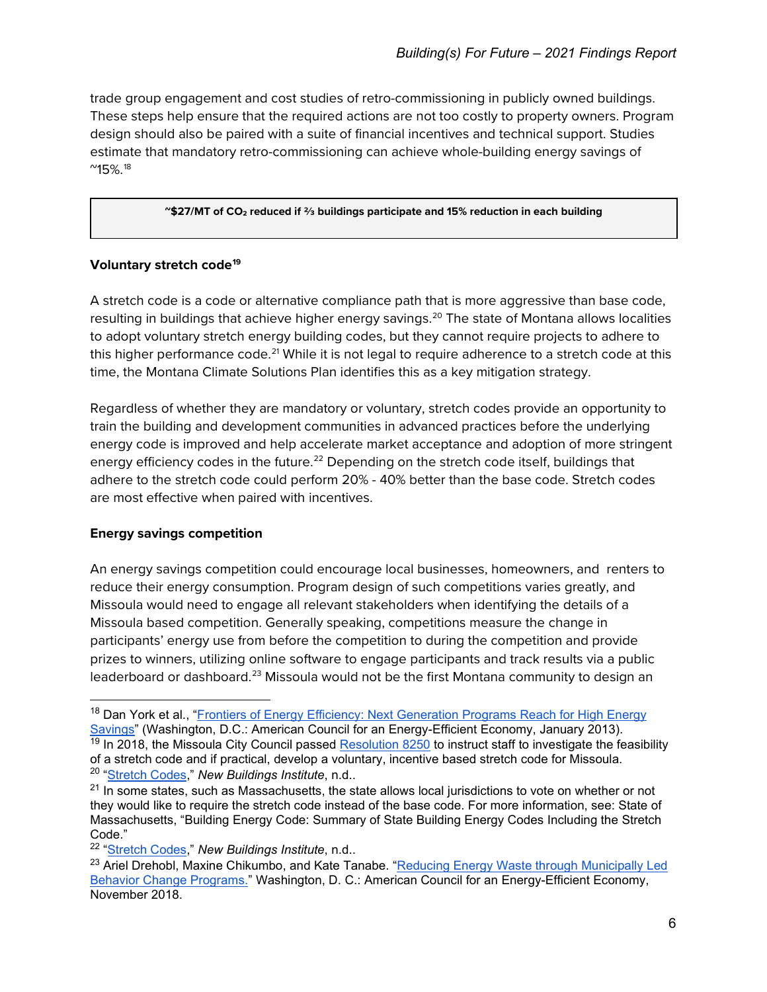trade group engagement and cost studies of retro-commissioning in publicly owned buildings. These steps help ensure that the required actions are not too costly to property owners. Program design should also be paired with a suite of financial incentives and technical support. Studies estimate that mandatory retro-commissioning can achieve whole-building energy savings of  $^{\prime\prime}$ 15%.<sup>[18](#page-5-0)</sup>

#### **~\$27/MT of CO2 reduced if ⅔ buildings participate and 15% reduction in each building**

# **Voluntary stretch code[19](#page-5-1)**

A stretch code is a code or alternative compliance path that is more aggressive than base code, resulting in buildings that achieve higher energy savings.<sup>[20](#page-5-2)</sup> The state of Montana allows localities to adopt voluntary stretch energy building codes, but they cannot require projects to adhere to this higher performance code.<sup>[21](#page-5-3)</sup> While it is not legal to require adherence to a stretch code at this time, the Montana Climate Solutions Plan identifies this as a key mitigation strategy.

Regardless of whether they are mandatory or voluntary, stretch codes provide an opportunity to train the building and development communities in advanced practices before the underlying energy code is improved and help accelerate market acceptance and adoption of more stringent energy efficiency codes in the future.<sup>[22](#page-5-4)</sup> Depending on the stretch code itself, buildings that adhere to the stretch code could perform 20% - 40% better than the base code. Stretch codes are most effective when paired with incentives.

# **Energy savings competition**

An energy savings competition could encourage local businesses, homeowners, and renters to reduce their energy consumption. Program design of such competitions varies greatly, and Missoula would need to engage all relevant stakeholders when identifying the details of a Missoula based competition. Generally speaking, competitions measure the change in participants' energy use from before the competition to during the competition and provide prizes to winners, utilizing online software to engage participants and track results via a public leaderboard or dashboard.<sup>[23](#page-5-5)</sup> Missoula would not be the first Montana community to design an

<span id="page-5-0"></span><sup>&</sup>lt;sup>18</sup> Dan York et al., "Frontiers of Energy Efficiency: Next Generation Programs Reach for High Energy [Savings"](https://www.aceee.org/sites/default/files/publications/researchreports/u131.pdf) (Washington, D.C.: American Council for an Energy-Efficient Economy, January 2013).

<span id="page-5-1"></span> $19$  In 2018, the Missoula City Council passed [Resolution 8250](https://www.ci.missoula.mt.us/DocumentCenter/View/42847/Resolution-8250?bidId=) to instruct staff to investigate the feasibility of a stretch code and if practical, develop a voluntary, incentive based stretch code for Missoula. <sup>20</sup> ["Stretch Codes,"](https://newbuildings.org/code_policy/utility-programs-stretch-codes/stretch-codes/) *New Buildings Institute*, n.d..

<span id="page-5-3"></span><span id="page-5-2"></span> $21$  In some states, such as Massachusetts, the state allows local jurisdictions to vote on whether or not they would like to require the stretch code instead of the base code. For more information, see: State of Massachusetts, "Building Energy Code: Summary of State Building Energy Codes Including the Stretch Code."

<span id="page-5-4"></span><sup>22</sup> ["Stretch Codes,"](https://newbuildings.org/code_policy/utility-programs-stretch-codes/stretch-codes/) *New Buildings Institute*, n.d..

<span id="page-5-5"></span><sup>&</sup>lt;sup>23</sup> Ariel Drehobl, Maxine Chikumbo, and Kate Tanabe. "Reducing Energy Waste through Municipally Led [Behavior Change Programs."](https://www.aceee.org/sites/default/files/publications/researchreports/u1810.pdf) Washington, D. C.: American Council for an Energy-Efficient Economy, November 2018.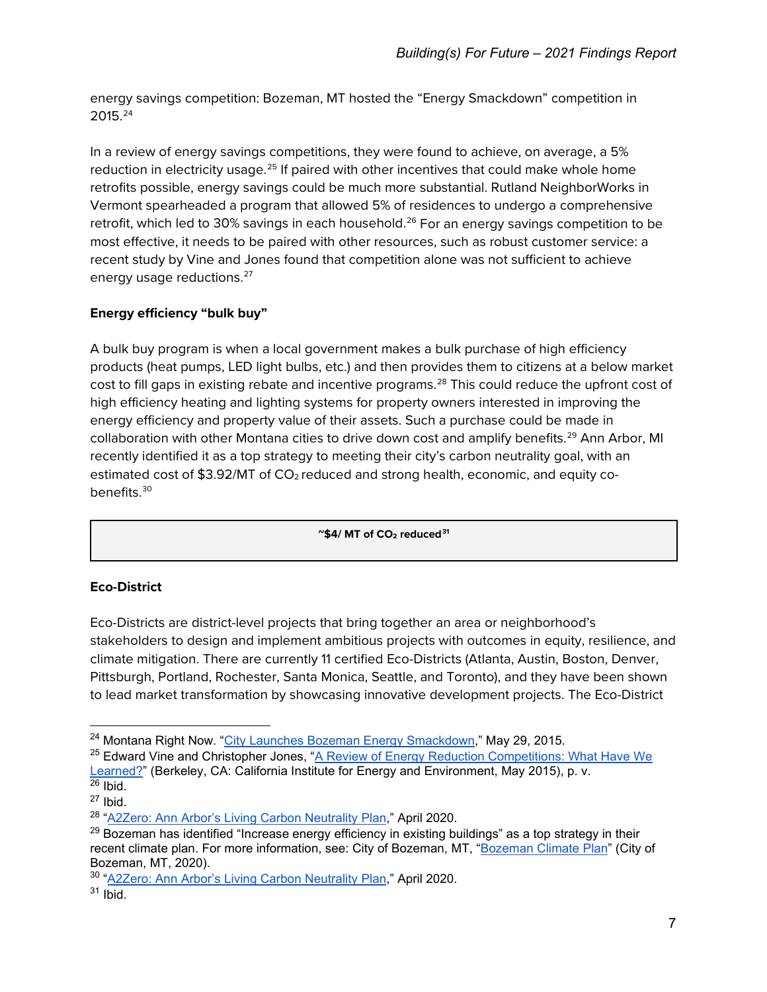energy savings competition: Bozeman, MT hosted the "Energy Smackdown" competition in 2015.[24](#page-6-0)

In a review of energy savings competitions, they were found to achieve, on average, a 5% reduction in electricity usage.<sup>25</sup> If paired with other incentives that could make whole home retrofits possible, energy savings could be much more substantial. Rutland NeighborWorks in Vermont spearheaded a program that allowed 5% of residences to undergo a comprehensive retrofit, which led to 30% savings in each household.<sup>[26](#page-6-2)</sup> For an energy savings competition to be most effective, it needs to be paired with other resources, such as robust customer service: a recent study by Vine and Jones found that competition alone was not sufficient to achieve energy usage reductions.<sup>[27](#page-6-3)</sup>

# **Energy efficiency "bulk buy"**

A bulk buy program is when a local government makes a bulk purchase of high efficiency products (heat pumps, LED light bulbs, etc.) and then provides them to citizens at a below market cost to fill gaps in existing rebate and incentive programs.<sup>[28](#page-6-4)</sup> This could reduce the upfront cost of high efficiency heating and lighting systems for property owners interested in improving the energy efficiency and property value of their assets. Such a purchase could be made in collaboration with other Montana cities to drive down cost and amplify benefits.<sup>[29](#page-6-5)</sup> Ann Arbor, MI recently identified it as a top strategy to meeting their city's carbon neutrality goal, with an estimated cost of \$3.92/MT of  $CO<sub>2</sub>$  reduced and strong health, economic, and equity co-benefits.<sup>[30](#page-6-6)</sup>

**~\$4/ MT of CO2 reduced[31](#page-6-7)**

# **Eco-District**

Eco-Districts are district-level projects that bring together an area or neighborhood's stakeholders to design and implement ambitious projects with outcomes in equity, resilience, and climate mitigation. There are currently 11 certified Eco-Districts (Atlanta, Austin, Boston, Denver, Pittsburgh, Portland, Rochester, Santa Monica, Seattle, and Toronto), and they have been shown to lead market transformation by showcasing innovative development projects. The Eco-District

<span id="page-6-0"></span><sup>&</sup>lt;sup>24</sup> Montana Right Now. ["City Launches Bozeman Energy Smackdown,"](https://www.montanarightnow.com/news/city-launches-bozeman-energy-smackdown/article_2f86b8ab-8b22-5a4a-a043-5c1aff7bedb7.html) May 29, 2015.

<span id="page-6-1"></span><sup>&</sup>lt;sup>25</sup> Edward Vine and Christopher Jones, "A Review of Energy Reduction Competitions: What Have We [Learned?"](https://uc-ciee.org/ciee-old/downloads/Competitions%20CIEE%20Report.pdf) (Berkeley, CA: California Institute for Energy and Environment, May 2015), p. v.  $26$  Ibid.

<span id="page-6-3"></span><span id="page-6-2"></span> $27$  Ibid.

<span id="page-6-4"></span><sup>&</sup>lt;sup>28</sup> ["A2Zero: Ann Arbor's Living Carbon Neutrality Plan,](https://www.a2gov.org/departments/sustainability/Carbon-Neutrality/Documents/A2Zero-Climate-Action-Plan-_3.0.pdf)" April 2020.

<span id="page-6-5"></span> $^{29}$  Bozeman has identified "Increase energy efficiency in existing buildings" as a top strategy in their recent climate plan. For more information, see: City of Bozeman, MT, ["Bozeman Climate Plan"](http://weblink.bozeman.net/WebLink8/0/doc/228833/Electronic.aspx) (City of Bozeman, MT, 2020).

<span id="page-6-6"></span><sup>30</sup> ["A2Zero: Ann Arbor's Living Carbon Neutrality Plan,](https://www.a2gov.org/departments/sustainability/Carbon-Neutrality/Documents/A2Zero-Climate-Action-Plan-_3.0.pdf)" April 2020.

<span id="page-6-7"></span> $31$  Ibid.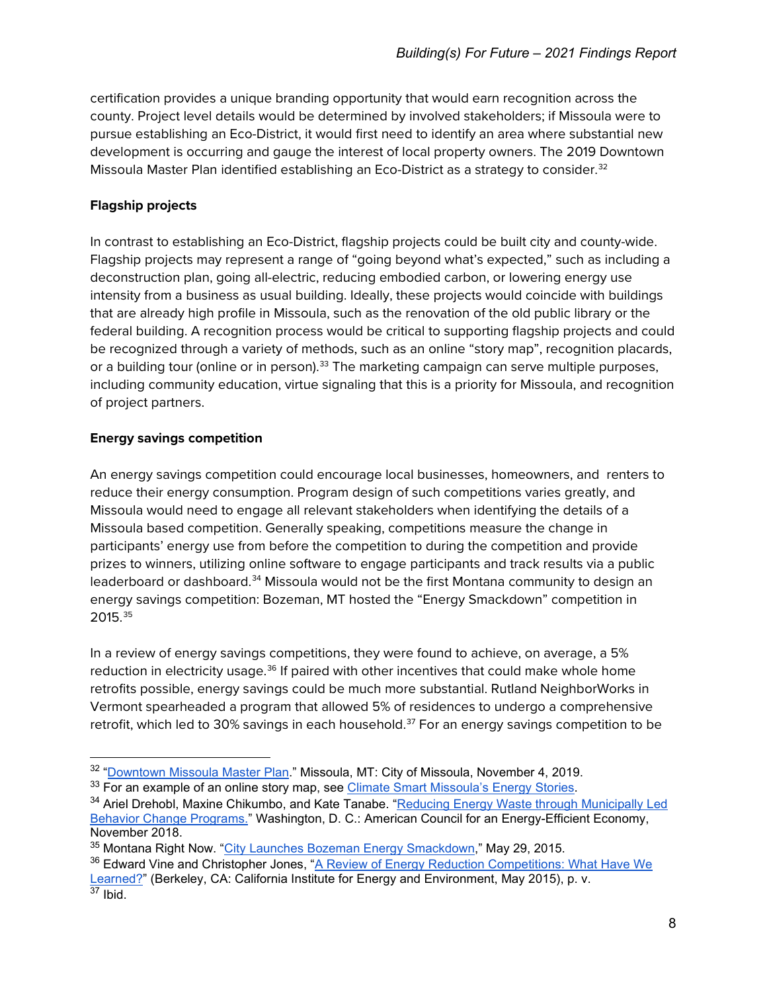certification provides a unique branding opportunity that would earn recognition across the county. Project level details would be determined by involved stakeholders; if Missoula were to pursue establishing an Eco-District, it would first need to identify an area where substantial new development is occurring and gauge the interest of local property owners. The 2019 Downtown Missoula Master Plan identified establishing an Eco-District as a strategy to consider.<sup>[32](#page-7-0)</sup>

# **Flagship projects**

In contrast to establishing an Eco-District, flagship projects could be built city and county-wide. Flagship projects may represent a range of "going beyond what's expected," such as including a deconstruction plan, going all-electric, reducing embodied carbon, or lowering energy use intensity from a business as usual building. Ideally, these projects would coincide with buildings that are already high profile in Missoula, such as the renovation of the old public library or the federal building. A recognition process would be critical to supporting flagship projects and could be recognized through a variety of methods, such as an online "story map", recognition placards, or a building tour (online or in person).<sup>[33](#page-7-1)</sup> The marketing campaign can serve multiple purposes, including community education, virtue signaling that this is a priority for Missoula, and recognition of project partners.

# **Energy savings competition**

An energy savings competition could encourage local businesses, homeowners, and renters to reduce their energy consumption. Program design of such competitions varies greatly, and Missoula would need to engage all relevant stakeholders when identifying the details of a Missoula based competition. Generally speaking, competitions measure the change in participants' energy use from before the competition to during the competition and provide prizes to winners, utilizing online software to engage participants and track results via a public leaderboard or dashboard.<sup>[34](#page-7-2)</sup> Missoula would not be the first Montana community to design an energy savings competition: Bozeman, MT hosted the "Energy Smackdown" competition in 2015.[35](#page-7-3)

In a review of energy savings competitions, they were found to achieve, on average, a 5% reduction in electricity usage.<sup>36</sup> If paired with other incentives that could make whole home retrofits possible, energy savings could be much more substantial. Rutland NeighborWorks in Vermont spearheaded a program that allowed 5% of residences to undergo a comprehensive retrofit, which led to 30% savings in each household.<sup>[37](#page-7-5)</sup> For an energy savings competition to be

<span id="page-7-0"></span> $32$  "<u>Downtown Missoula Master Plan</u>." Missoula, MT: City of Missoula, November 4, 2019.<br><sup>33</sup> For an example of an online story map, see Climate Smart Missoula's Energy Stories.

<span id="page-7-1"></span>

<span id="page-7-2"></span><sup>&</sup>lt;sup>34</sup> Ariel Drehobl, Maxine Chikumbo, and Kate Tanabe. "Reducing Energy Waste through Municipally Led [Behavior Change Programs."](https://www.aceee.org/sites/default/files/publications/researchreports/u1810.pdf) Washington, D. C.: American Council for an Energy-Efficient Economy, November 2018.

<span id="page-7-3"></span><sup>35</sup> Montana Right Now. ["City Launches Bozeman Energy Smackdown,"](https://www.montanarightnow.com/news/city-launches-bozeman-energy-smackdown/article_2f86b8ab-8b22-5a4a-a043-5c1aff7bedb7.html) May 29, 2015.

<span id="page-7-5"></span><span id="page-7-4"></span><sup>&</sup>lt;sup>36</sup> Edward Vine and Christopher Jones, "A Review of Energy Reduction Competitions: What Have We [Learned?"](https://uc-ciee.org/ciee-old/downloads/Competitions%20CIEE%20Report.pdf) (Berkeley, CA: California Institute for Energy and Environment, May 2015), p. v.  $37$  Ibid.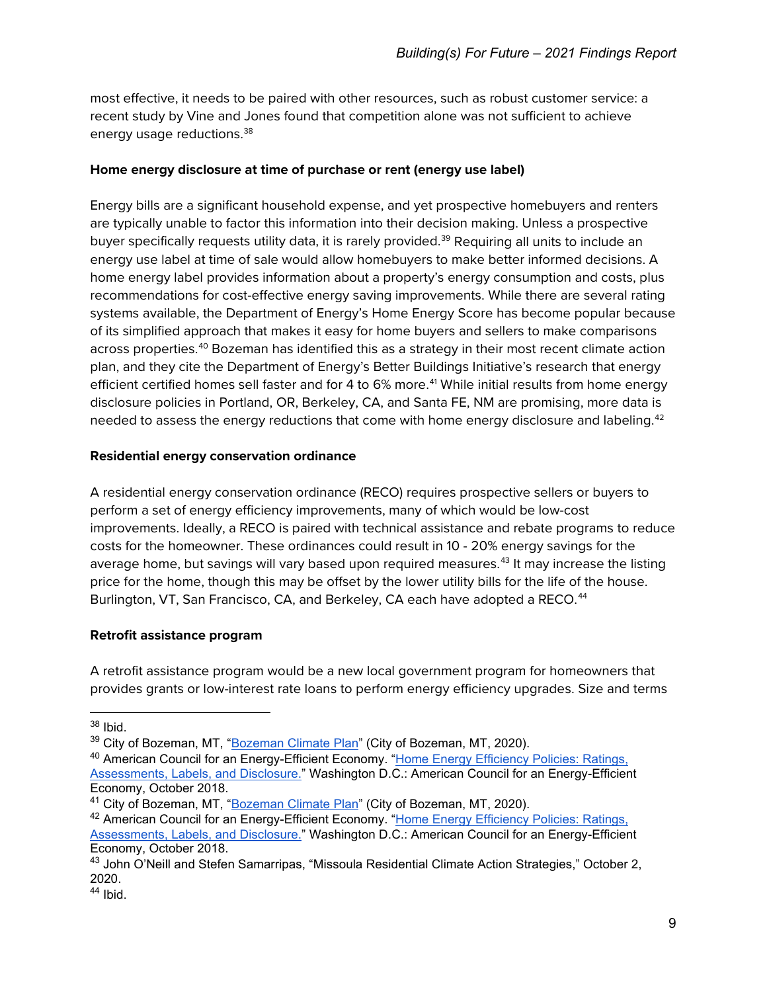most effective, it needs to be paired with other resources, such as robust customer service: a recent study by Vine and Jones found that competition alone was not sufficient to achieve energy usage reductions.<sup>[38](#page-8-0)</sup>

# **Home energy disclosure at time of purchase or rent (energy use label)**

Energy bills are a significant household expense, and yet prospective homebuyers and renters are typically unable to factor this information into their decision making. Unless a prospective buyer specifically requests utility data, it is rarely provided.<sup>[39](#page-8-1)</sup> Requiring all units to include an energy use label at time of sale would allow homebuyers to make better informed decisions. A home energy label provides information about a property's energy consumption and costs, plus recommendations for cost-effective energy saving improvements. While there are several rating systems available, the Department of Energy's Home Energy Score has become popular because of its simplified approach that makes it easy for home buyers and sellers to make comparisons across properties.<sup>[40](#page-8-2)</sup> Bozeman has identified this as a strategy in their most recent climate action plan, and they cite the Department of Energy's Better Buildings Initiative's research that energy efficient certified homes sell faster and for 4 to 6% more.<sup>[41](#page-8-3)</sup> While initial results from home energy disclosure policies in Portland, OR, Berkeley, CA, and Santa FE, NM are promising, more data is needed to assess the energy reductions that come with home energy disclosure and labeling.<sup>[42](#page-8-4)</sup>

### **Residential energy conservation ordinance**

A residential energy conservation ordinance (RECO) requires prospective sellers or buyers to perform a set of energy efficiency improvements, many of which would be low-cost improvements. Ideally, a RECO is paired with technical assistance and rebate programs to reduce costs for the homeowner. These ordinances could result in 10 - 20% energy savings for the average home, but savings will vary based upon required measures.<sup>[43](#page-8-5)</sup> It may increase the listing price for the home, though this may be offset by the lower utility bills for the life of the house. Burlington, VT, San Francisco, CA, and Berkeley, CA each have adopted a RECO.<sup>[44](#page-8-6)</sup>

# **Retrofit assistance program**

A retrofit assistance program would be a new local government program for homeowners that provides grants or low-interest rate loans to perform energy efficiency upgrades. Size and terms

<span id="page-8-0"></span><sup>38</sup> Ibid.

<span id="page-8-1"></span><sup>&</sup>lt;sup>39</sup> City of Bozeman, MT, ["Bozeman Climate Plan"](http://weblink.bozeman.net/WebLink8/0/doc/228833/Electronic.aspx) (City of Bozeman, MT, 2020).

<span id="page-8-2"></span><sup>40</sup> American Council for an Energy-Efficient Economy. ["Home Energy Efficiency Policies: Ratings,](https://www.aceee.org/sites/default/files/pdf/topic-home-energy-assessment.pdf)  [Assessments, Labels, and Disclosure."](https://www.aceee.org/sites/default/files/pdf/topic-home-energy-assessment.pdf) Washington D.C.: American Council for an Energy-Efficient Economy, October 2018.

<span id="page-8-3"></span><sup>41</sup> City of Bozeman, MT, ["Bozeman Climate Plan"](http://weblink.bozeman.net/WebLink8/0/doc/228833/Electronic.aspx) (City of Bozeman, MT, 2020).

<span id="page-8-4"></span><sup>42</sup> American Council for an Energy-Efficient Economy. "Home Energy [Efficiency Policies: Ratings,](https://www.aceee.org/sites/default/files/pdf/topic-home-energy-assessment.pdf)  [Assessments, Labels, and Disclosure."](https://www.aceee.org/sites/default/files/pdf/topic-home-energy-assessment.pdf) Washington D.C.: American Council for an Energy-Efficient Economy, October 2018.

<span id="page-8-5"></span><sup>&</sup>lt;sup>43</sup> John O'Neill and Stefen Samarripas, "Missoula Residential Climate Action Strategies," October 2, 2020.

<span id="page-8-6"></span> $44$  Ibid.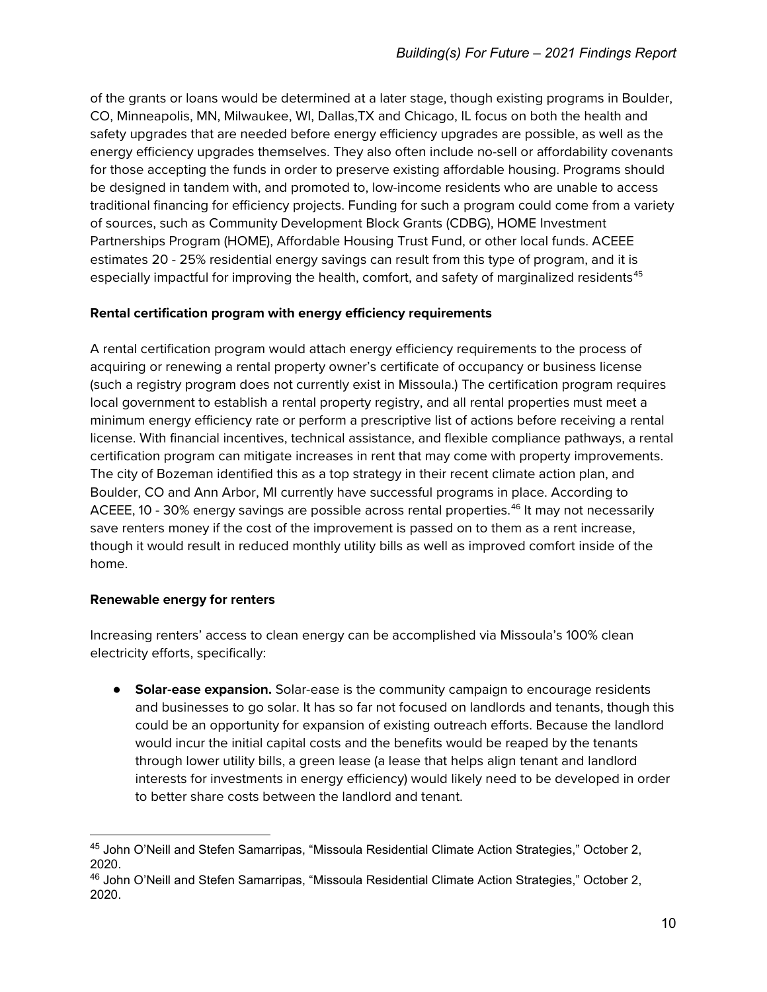of the grants or loans would be determined at a later stage, though existing programs in Boulder, CO, Minneapolis, MN, Milwaukee, WI, Dallas,TX and Chicago, IL focus on both the health and safety upgrades that are needed before energy efficiency upgrades are possible, as well as the energy efficiency upgrades themselves. They also often include no-sell or affordability covenants for those accepting the funds in order to preserve existing affordable housing. Programs should be designed in tandem with, and promoted to, low-income residents who are unable to access traditional financing for efficiency projects. Funding for such a program could come from a variety of sources, such as Community Development Block Grants (CDBG), HOME Investment Partnerships Program (HOME), Affordable Housing Trust Fund, or other local funds. ACEEE estimates 20 - 25% residential energy savings can result from this type of program, and it is especially impactful for improving the health, comfort, and safety of marginalized residents<sup>[45](#page-9-0)</sup>

# **Rental certification program with energy efficiency requirements**

A rental certification program would attach energy efficiency requirements to the process of acquiring or renewing a rental property owner's certificate of occupancy or business license (such a registry program does not currently exist in Missoula.) The certification program requires local government to establish a rental property registry, and all rental properties must meet a minimum energy efficiency rate or perform a prescriptive list of actions before receiving a rental license. With financial incentives, technical assistance, and flexible compliance pathways, a rental certification program can mitigate increases in rent that may come with property improvements. The city of Bozeman identified this as a top strategy in their recent climate action plan, and Boulder, CO and Ann Arbor, MI currently have successful programs in place. According to ACEEE, 10 - 30% energy savings are possible across rental properties.<sup>[46](#page-9-1)</sup> It may not necessarily save renters money if the cost of the improvement is passed on to them as a rent increase, though it would result in reduced monthly utility bills as well as improved comfort inside of the home.

# **Renewable energy for renters**

Increasing renters' access to clean energy can be accomplished via Missoula's 100% clean electricity efforts, specifically:

**• Solar-ease expansion.** Solar-ease is the community campaign to encourage residents and businesses to go solar. It has so far not focused on landlords and tenants, though this could be an opportunity for expansion of existing outreach efforts. Because the landlord would incur the initial capital costs and the benefits would be reaped by the tenants through lower utility bills, a green lease (a lease that helps align tenant and landlord interests for investments in energy efficiency) would likely need to be developed in order to better share costs between the landlord and tenant.

<span id="page-9-0"></span><sup>45</sup> John O'Neill and Stefen Samarripas, "Missoula Residential Climate Action Strategies," October 2, 2020.

<span id="page-9-1"></span><sup>46</sup> John O'Neill and Stefen Samarripas, "Missoula Residential Climate Action Strategies," October 2, 2020.